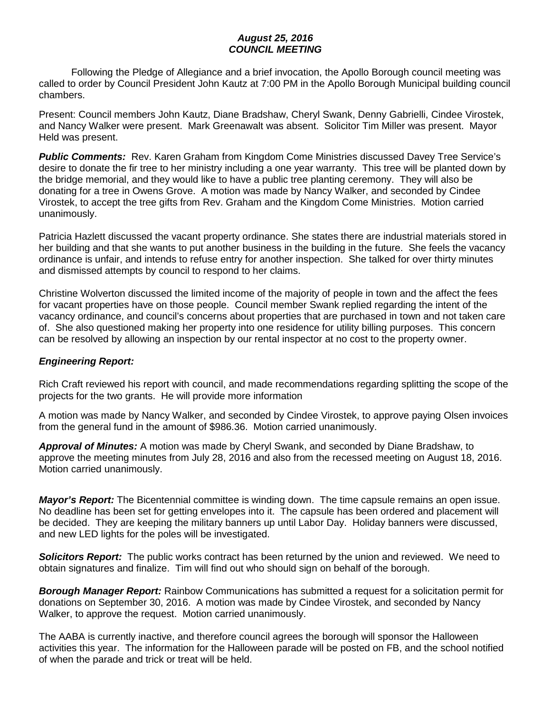## *August 25, 2016 COUNCIL MEETING*

Following the Pledge of Allegiance and a brief invocation, the Apollo Borough council meeting was called to order by Council President John Kautz at 7:00 PM in the Apollo Borough Municipal building council chambers.

Present: Council members John Kautz, Diane Bradshaw, Cheryl Swank, Denny Gabrielli, Cindee Virostek, and Nancy Walker were present. Mark Greenawalt was absent. Solicitor Tim Miller was present. Mayor Held was present.

**Public Comments:** Rev. Karen Graham from Kingdom Come Ministries discussed Davey Tree Service's desire to donate the fir tree to her ministry including a one year warranty. This tree will be planted down by the bridge memorial, and they would like to have a public tree planting ceremony. They will also be donating for a tree in Owens Grove. A motion was made by Nancy Walker, and seconded by Cindee Virostek, to accept the tree gifts from Rev. Graham and the Kingdom Come Ministries. Motion carried unanimously.

Patricia Hazlett discussed the vacant property ordinance. She states there are industrial materials stored in her building and that she wants to put another business in the building in the future. She feels the vacancy ordinance is unfair, and intends to refuse entry for another inspection. She talked for over thirty minutes and dismissed attempts by council to respond to her claims.

Christine Wolverton discussed the limited income of the majority of people in town and the affect the fees for vacant properties have on those people. Council member Swank replied regarding the intent of the vacancy ordinance, and council's concerns about properties that are purchased in town and not taken care of. She also questioned making her property into one residence for utility billing purposes. This concern can be resolved by allowing an inspection by our rental inspector at no cost to the property owner.

## *Engineering Report:*

Rich Craft reviewed his report with council, and made recommendations regarding splitting the scope of the projects for the two grants. He will provide more information

A motion was made by Nancy Walker, and seconded by Cindee Virostek, to approve paying Olsen invoices from the general fund in the amount of \$986.36. Motion carried unanimously.

*Approval of Minutes:* A motion was made by Cheryl Swank, and seconded by Diane Bradshaw, to approve the meeting minutes from July 28, 2016 and also from the recessed meeting on August 18, 2016. Motion carried unanimously.

*Mayor's Report:* The Bicentennial committee is winding down. The time capsule remains an open issue. No deadline has been set for getting envelopes into it. The capsule has been ordered and placement will be decided. They are keeping the military banners up until Labor Day. Holiday banners were discussed, and new LED lights for the poles will be investigated.

*Solicitors Report:* The public works contract has been returned by the union and reviewed. We need to obtain signatures and finalize. Tim will find out who should sign on behalf of the borough.

*Borough Manager Report:* Rainbow Communications has submitted a request for a solicitation permit for donations on September 30, 2016. A motion was made by Cindee Virostek, and seconded by Nancy Walker, to approve the request. Motion carried unanimously.

The AABA is currently inactive, and therefore council agrees the borough will sponsor the Halloween activities this year. The information for the Halloween parade will be posted on FB, and the school notified of when the parade and trick or treat will be held.